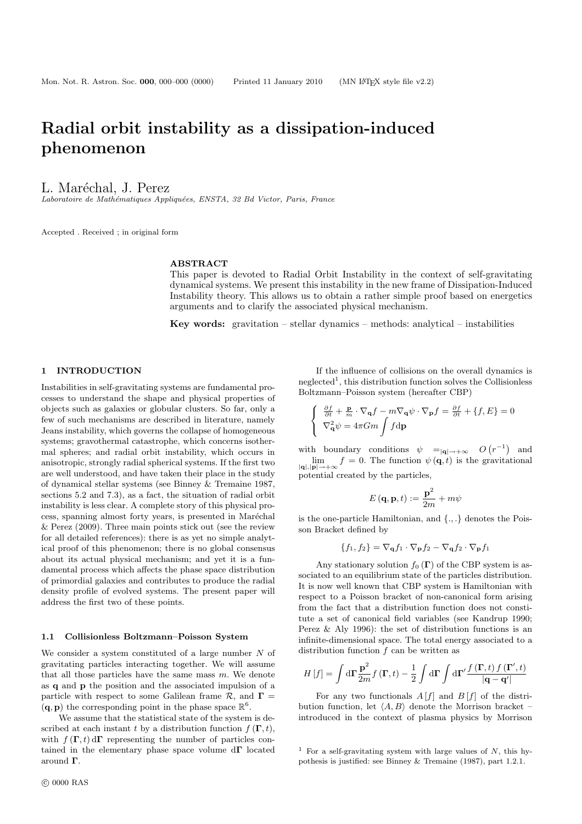# Radial orbit instability as a dissipation-induced phenomenon

# L. Maréchal, J. Perez

Laboratoire de Mathématiques Appliquées, ENSTA, 32 Bd Victor, Paris, France

Accepted . Received ; in original form

#### ABSTRACT

This paper is devoted to Radial Orbit Instability in the context of self-gravitating dynamical systems. We present this instability in the new frame of Dissipation-Induced Instability theory. This allows us to obtain a rather simple proof based on energetics arguments and to clarify the associated physical mechanism.

Key words: gravitation – stellar dynamics – methods: analytical – instabilities

## 1 INTRODUCTION

Instabilities in self-gravitating systems are fundamental processes to understand the shape and physical properties of objects such as galaxies or globular clusters. So far, only a few of such mechanisms are described in literature, namely Jeans instability, which governs the collapse of homogeneous systems; gravothermal catastrophe, which concerns isothermal spheres; and radial orbit instability, which occurs in anisotropic, strongly radial spherical systems. If the first two are well understood, and have taken their place in the study of dynamical stellar systems (see Binney & Tremaine 1987, sections 5.2 and 7.3), as a fact, the situation of radial orbit instability is less clear. A complete story of this physical process, spanning almost forty years, is presented in Maréchal & Perez (2009). Three main points stick out (see the review for all detailed references): there is as yet no simple analytical proof of this phenomenon; there is no global consensus about its actual physical mechanism; and yet it is a fundamental process which affects the phase space distribution of primordial galaxies and contributes to produce the radial density profile of evolved systems. The present paper will address the first two of these points.

#### 1.1 Collisionless Boltzmann–Poisson System

We consider a system constituted of a large number N of gravitating particles interacting together. We will assume that all those particles have the same mass  $m$ . We denote as q and p the position and the associated impulsion of a particle with respect to some Galilean frame  $\mathcal{R}$ , and  $\Gamma =$  $(\mathbf{q}, \mathbf{p})$  the corresponding point in the phase space  $\mathbb{R}^6$ .

We assume that the statistical state of the system is described at each instant t by a distribution function  $f(\mathbf{\Gamma}, t)$ , with  $f(\mathbf{\Gamma}, t) d\mathbf{\Gamma}$  representing the number of particles contained in the elementary phase space volume  $d\Gamma$  located around Γ.

If the influence of collisions on the overall dynamics is neglected<sup>1</sup>, this distribution function solves the Collisionless Boltzmann–Poisson system (hereafter CBP)

$$
\begin{cases} \frac{\partial f}{\partial t} + \frac{\mathbf{p}}{m} \cdot \nabla_{\mathbf{q}} f - m \nabla_{\mathbf{q}} \psi \cdot \nabla_{\mathbf{p}} f = \frac{\partial f}{\partial t} + \{f, E\} = 0 \\ \nabla_{\mathbf{q}}^2 \psi = 4\pi G m \int f \mathrm{d} \mathbf{p} \end{cases}
$$

with boundary conditions  $\psi =_{|\mathbf{q}|\to+\infty} O(r^{-1})$  and  $\lim_{|\mathbf{q}|,|\mathbf{p}|\to+\infty} f = 0.$  The function  $\psi(\mathbf{q},t)$  is the gravitational potential created by the particles,

$$
E\left(\mathbf{q},\mathbf{p},t\right):=\frac{\mathbf{p}^2}{2m}+m\psi
$$

is the one-particle Hamiltonian, and {., .} denotes the Poisson Bracket defined by

$$
\{f_1, f_2\} = \nabla_{\mathbf{q}} f_1 \cdot \nabla_{\mathbf{p}} f_2 - \nabla_{\mathbf{q}} f_2 \cdot \nabla_{\mathbf{p}} f_1
$$

Any stationary solution  $f_0(\Gamma)$  of the CBP system is associated to an equilibrium state of the particles distribution. It is now well known that CBP system is Hamiltonian with respect to a Poisson bracket of non-canonical form arising from the fact that a distribution function does not constitute a set of canonical field variables (see Kandrup 1990; Perez & Aly 1996): the set of distribution functions is an infinite-dimensional space. The total energy associated to a distribution function f can be written as

$$
H\left[f\right] = \int \mathrm{d}\Gamma \frac{\mathbf{p}^2}{2m} f\left(\mathbf{\Gamma}, t\right) - \frac{1}{2} \int \mathrm{d}\Gamma \int \mathrm{d}\Gamma' \frac{f\left(\mathbf{\Gamma}, t\right) f\left(\mathbf{\Gamma}', t\right)}{\left|\mathbf{q} - \mathbf{q}'\right|}
$$

For any two functionals  $A[f]$  and  $B[f]$  of the distribution function, let  $\langle A, B \rangle$  denote the Morrison bracket – introduced in the context of plasma physics by Morrison

<sup>&</sup>lt;sup>1</sup> For a self-gravitating system with large values of  $N$ , this hypothesis is justified: see Binney & Tremaine (1987), part 1.2.1.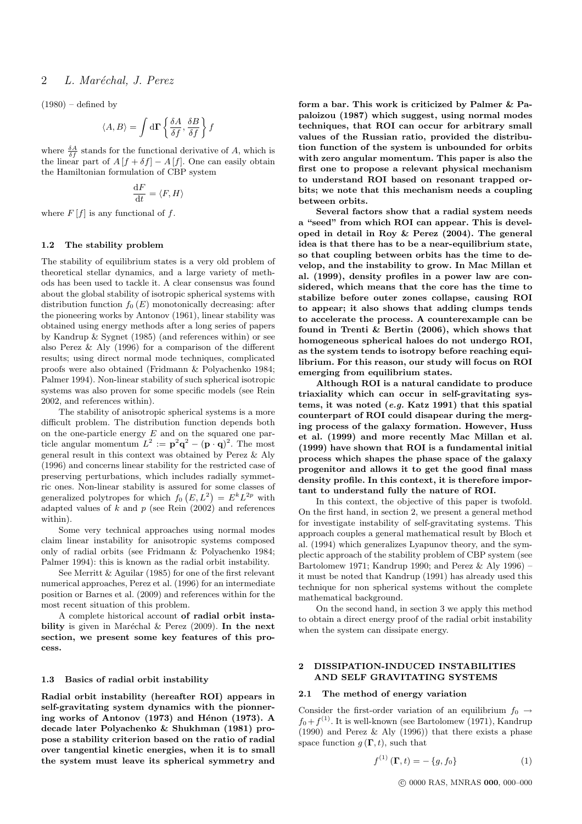# 2 L. Maréchal, J. Perez

 $(1980)$  – defined by

$$
\langle A,B\rangle = \int \mathrm{d}\Gamma\left\{\frac{\delta A}{\delta f},\frac{\delta B}{\delta f}\right\}f
$$

where  $\frac{\delta A}{\delta f}$  stands for the functional derivative of A, which is the linear part of  $A[f + \delta f] - A[f]$ . One can easily obtain the Hamiltonian formulation of CBP system

$$
\frac{\mathrm{d}F}{\mathrm{d}t}=\langle F,H\rangle
$$

where  $F[f]$  is any functional of f.

## 1.2 The stability problem

The stability of equilibrium states is a very old problem of theoretical stellar dynamics, and a large variety of methods has been used to tackle it. A clear consensus was found about the global stability of isotropic spherical systems with distribution function  $f_0(E)$  monotonically decreasing: after the pioneering works by Antonov (1961), linear stability was obtained using energy methods after a long series of papers by Kandrup & Sygnet (1985) (and references within) or see also Perez & Aly (1996) for a comparison of the different results; using direct normal mode techniques, complicated proofs were also obtained (Fridmann & Polyachenko 1984; Palmer 1994). Non-linear stability of such spherical isotropic systems was also proven for some specific models (see Rein 2002, and references within).

The stability of anisotropic spherical systems is a more difficult problem. The distribution function depends both on the one-particle energy  $E$  and on the squared one particle angular momentum  $L^2 := \mathbf{p}^2 \mathbf{q}^2 - (\mathbf{p} \cdot \mathbf{q})^2$ . The most general result in this context was obtained by Perez & Aly (1996) and concerns linear stability for the restricted case of preserving perturbations, which includes radially symmetric ones. Non-linear stability is assured for some classes of generalized polytropes for which  $f_0(E, L^2) = E^k L^{2p}$  with adapted values of  $k$  and  $p$  (see Rein (2002) and references within).

Some very technical approaches using normal modes claim linear instability for anisotropic systems composed only of radial orbits (see Fridmann & Polyachenko 1984; Palmer 1994): this is known as the radial orbit instability.

See Merritt & Aguilar (1985) for one of the first relevant numerical approaches, Perez et al. (1996) for an intermediate position or Barnes et al. (2009) and references within for the most recent situation of this problem.

A complete historical account of radial orbit instability is given in Maréchal  $\&$  Perez (2009). In the next section, we present some key features of this process.

#### 1.3 Basics of radial orbit instability

Radial orbit instability (hereafter ROI) appears in self-gravitating system dynamics with the pionnering works of Antonov  $(1973)$  and Hénon  $(1973)$ . A decade later Polyachenko & Shukhman (1981) propose a stability criterion based on the ratio of radial over tangential kinetic energies, when it is to small the system must leave its spherical symmetry and form a bar. This work is criticized by Palmer & Papaloizou (1987) which suggest, using normal modes techniques, that ROI can occur for arbitrary small values of the Russian ratio, provided the distribution function of the system is unbounded for orbits with zero angular momentum. This paper is also the first one to propose a relevant physical mechanism to understand ROI based on resonant trapped orbits; we note that this mechanism needs a coupling between orbits.

Several factors show that a radial system needs a "seed" from which ROI can appear. This is developed in detail in Roy & Perez (2004). The general idea is that there has to be a near-equilibrium state, so that coupling between orbits has the time to develop, and the instability to grow. In Mac Millan et al. (1999), density profiles in a power law are considered, which means that the core has the time to stabilize before outer zones collapse, causing ROI to appear; it also shows that adding clumps tends to accelerate the process. A counterexample can be found in Trenti & Bertin (2006), which shows that homogeneous spherical haloes do not undergo ROI, as the system tends to isotropy before reaching equilibrium. For this reason, our study will focus on ROI emerging from equilibrium states.

Although ROI is a natural candidate to produce triaxiality which can occur in self-gravitating systems, it was noted (e.g. Katz 1991) that this spatial counterpart of ROI could disapear during the merging process of the galaxy formation. However, Huss et al. (1999) and more recently Mac Millan et al. (1999) have shown that ROI is a fundamental initial process which shapes the phase space of the galaxy progenitor and allows it to get the good final mass density profile. In this context, it is therefore important to understand fully the nature of ROI.

In this context, the objective of this paper is twofold. On the first hand, in section 2, we present a general method for investigate instability of self-gravitating systems. This approach couples a general mathematical result by Bloch et al. (1994) which generalizes Lyapunov theory, and the symplectic approach of the stability problem of CBP system (see Bartolomew 1971; Kandrup 1990; and Perez & Aly 1996) – it must be noted that Kandrup (1991) has already used this technique for non spherical systems without the complete mathematical background.

On the second hand, in section 3 we apply this method to obtain a direct energy proof of the radial orbit instability when the system can dissipate energy.

## 2 DISSIPATION-INDUCED INSTABILITIES AND SELF GRAVITATING SYSTEMS

#### 2.1 The method of energy variation

Consider the first-order variation of an equilibrium  $f_0 \rightarrow$  $f_0 + f^{(1)}$ . It is well-known (see Bartolomew (1971), Kandrup (1990) and Perez  $\&$  Aly (1996)) that there exists a phase space function  $g(\mathbf{\Gamma}, t)$ , such that

$$
f^{(1)}(\mathbf{\Gamma},t) = -\{g,f_0\} \tag{1}
$$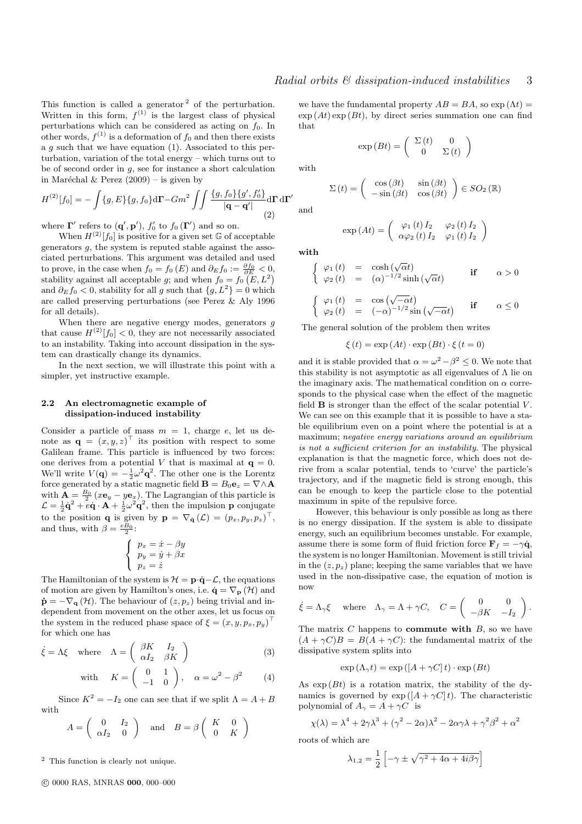This function is called a generator  $2$  of the perturbation. Written in this form,  $f^{(1)}$  is the largest class of physical perturbations which can be considered as acting on  $f_0$ . In other words,  $f^{(1)}$  is a deformation of  $f_0$  and then there exists a  $g$  such that we have equation (1). Associated to this perturbation, variation of the total energy – which turns out to be of second order in  $g$ , see for instance a short calculation in Maréchal & Perez  $(2009)$  – is given by

$$
H^{(2)}[f_0] = -\int \{g, E\} \{g, f_0\} d\Gamma - Gm^2 \iint \frac{\{g, f_0\} \{g', f'_0\}}{|\mathbf{q} - \mathbf{q}'|} d\Gamma d\Gamma'
$$
\n(2)

where  $\mathbf{\Gamma}'$  refers to  $(\mathbf{q}', \mathbf{p}'), f'_0$  to  $f_0(\mathbf{\Gamma}')$  and so on.

When  $H^{(2)}[f_0]$  is positive for a given set G of acceptable generators  $g$ , the system is reputed stable against the associated perturbations. This argument was detailed and used to prove, in the case when  $f_0 = f_0(E)$  and  $\partial_E f_0 := \frac{\partial f_0}{\partial E} < 0$ , stability against all acceptable g; and when  $f_0 = f_0(E, L^2)$ and  $\partial_E f_0 < 0$ , stability for all g such that  $\{g, L^2\} = 0$  which are called preserving perturbations (see Perez & Aly 1996 for all details).

When there are negative energy modes, generators  $q$ that cause  $H^{(2)}[f_0] < 0$ , they are not necessarily associated to an instability. Taking into account dissipation in the system can drastically change its dynamics.

In the next section, we will illustrate this point with a simpler, yet instructive example.

# 2.2 An electromagnetic example of dissipation-induced instability

Consider a particle of mass  $m = 1$ , charge e, let us denote as  $\mathbf{q} = (x, y, z)^{\top}$  its position with respect to some Galilean frame. This particle is influenced by two forces: one derives from a potential V that is maximal at  $q = 0$ . We'll write  $V(\mathbf{q}) = -\frac{1}{2}\omega^2 \mathbf{q}^2$ . The other one is the Lorentz force generated by a static magnetic field  $\mathbf{B} = B_0 \mathbf{e}_z = \nabla \wedge \mathbf{A}$ with  $\mathbf{A} = \frac{B_0}{2} (x \mathbf{e}_y - y \mathbf{e}_x)$ . The Lagrangian of this particle is  $\mathcal{L} = \frac{1}{2}\dot{\mathbf{q}}^2 + e\dot{\mathbf{q}} \cdot \mathbf{A} + \frac{1}{2}\omega^2 \mathbf{q}^2$ , then the impulsion **p** conjugate to the position **q** is given by  $\mathbf{p} = \nabla_{\dot{\mathbf{q}}} (\mathcal{L}) = (p_x, p_y, p_z)^\top$ , and thus, with  $\beta = \frac{eB_0}{2}$ :

$$
\begin{cases}\np_x = \dot{x} - \beta y \\
p_y = \dot{y} + \beta x \\
p_z = \dot{z}\n\end{cases}
$$

The Hamiltonian of the system is  $\mathcal{H} = \mathbf{p} \cdot \dot{\mathbf{q}} - \mathcal{L}$ , the equations of motion are given by Hamilton's ones, i.e.  $\dot{\mathbf{q}} = \nabla_{\mathbf{p}} (\mathcal{H})$  and  $\dot{\mathbf{p}} = -\nabla_{\mathbf{q}}(\mathcal{H})$ . The behaviour of  $(z, p_z)$  being trivial and independent from movement on the other axes, let us focus on the system in the reduced phase space of  $\xi = (x, y, p_x, p_y)^\top$ for which one has

$$
\dot{\xi} = \Lambda \xi \quad \text{where} \quad \Lambda = \begin{pmatrix} \beta K & I_2 \\ \alpha I_2 & \beta K \end{pmatrix} \tag{3}
$$

with 
$$
K = \begin{pmatrix} 0 & 1 \\ -1 & 0 \end{pmatrix}
$$
,  $\alpha = \omega^2 - \beta^2$  (4)

Since  $K^2 = -I_2$  one can see that if we split  $\Lambda = A + B$ with

$$
A = \begin{pmatrix} 0 & I_2 \\ \alpha I_2 & 0 \end{pmatrix} \text{ and } B = \beta \begin{pmatrix} K & 0 \\ 0 & K \end{pmatrix}
$$

<sup>2</sup> This function is clearly not unique.

c 0000 RAS, MNRAS 000, 000–000

we have the fundamental property  $AB = BA$ , so  $\exp(\Lambda t) =$  $\exp{(At)} \exp{(Bt)}$ , by direct series summation one can find that

$$
\exp\left(Bt\right) = \left(\begin{array}{cc} \Sigma\left(t\right) & 0\\ 0 & \Sigma\left(t\right) \end{array}\right)
$$

with

and

$$
\Sigma(t) = \begin{pmatrix} \cos(\beta t) & \sin(\beta t) \\ -\sin(\beta t) & \cos(\beta t) \end{pmatrix} \in SO_2(\mathbb{R})
$$

 $\exp\left(At\right) = \begin{pmatrix} \varphi_1\left(t\right)I_2 & \varphi_2\left(t\right)I_2 \\ \cos\left(t\right)I_1 & \cos\left(t\right)I_2 \end{pmatrix}$ 

 $\alpha \varphi_2\left(t\right)I_2 \quad \varphi_1\left(t\right)I_2$ 

 $\setminus$ 

with

$$
\begin{cases}\n\varphi_1(t) = \cosh(\sqrt{\alpha}t) & \text{if } \alpha > 0 \\
\varphi_2(t) = (\alpha)^{-1/2}\sinh(\sqrt{\alpha}t) & \text{if } \alpha > 0\n\end{cases}
$$
\n
$$
\begin{cases}\n\varphi_1(t) = \cos(\sqrt{-\alpha}t) \\
\varphi_2(t) = (-\alpha)^{-1/2}\sin(\sqrt{-\alpha}t) & \text{if } \alpha \le 0\n\end{cases}
$$

The general solution of the problem then writes

 $\xi(t) = \exp{(At)} \cdot \exp{(Bt)} \cdot \xi(t=0)$ 

and it is stable provided that  $\alpha = \omega^2 - \beta^2 \leq 0$ . We note that this stability is not asymptotic as all eigenvalues of  $\Lambda$  lie on the imaginary axis. The mathematical condition on  $\alpha$  corresponds to the physical case when the effect of the magnetic field  $\bf{B}$  is stronger than the effect of the scalar potential  $V$ . We can see on this example that it is possible to have a stable equilibrium even on a point where the potential is at a maximum; negative energy variations around an equilibrium is not a sufficient criterion for an instability. The physical explanation is that the magnetic force, which does not derive from a scalar potential, tends to 'curve' the particle's trajectory, and if the magnetic field is strong enough, this can be enough to keep the particle close to the potential maximum in spite of the repulsive force.

However, this behaviour is only possible as long as there is no energy dissipation. If the system is able to dissipate energy, such an equilibrium becomes unstable. For example, assume there is some form of fluid friction force  $\mathbf{F}_f = -\gamma \dot{\mathbf{q}}$ , the system is no longer Hamiltonian. Movement is still trivial in the  $(z, p_z)$  plane; keeping the same variables that we have used in the non-dissipative case, the equation of motion is now

$$
\dot{\xi} = \Lambda_{\gamma} \xi
$$
 where  $\Lambda_{\gamma} = \Lambda + \gamma C$ ,  $C = \begin{pmatrix} 0 & 0 \\ -\beta K & -I_2 \end{pmatrix}$ .

The matrix  $C$  happens to **commute with**  $B$ , so we have  $(A + \gamma C)B = B(A + \gamma C)$ : the fundamental matrix of the dissipative system splits into

$$
\exp\left(\Lambda_{\gamma}t\right) = \exp\left(\left[A + \gamma C\right]t\right) \cdot \exp\left(Bt\right)
$$

As  $\exp(Bt)$  is a rotation matrix, the stability of the dynamics is governed by  $\exp\left(\left[A+\gamma C\right]t\right)$ . The characteristic polynomial of  $A_{\gamma} = A + \gamma C$  is

$$
\chi(\lambda) = \lambda^4 + 2\gamma\lambda^3 + (\gamma^2 - 2\alpha)\lambda^2 - 2\alpha\gamma\lambda + \gamma^2\beta^2 + \alpha^2
$$

roots of which are

$$
\lambda_{1,2} = \frac{1}{2} \left[ -\gamma \pm \sqrt{\gamma^2 + 4\alpha + 4i\beta\gamma} \right]
$$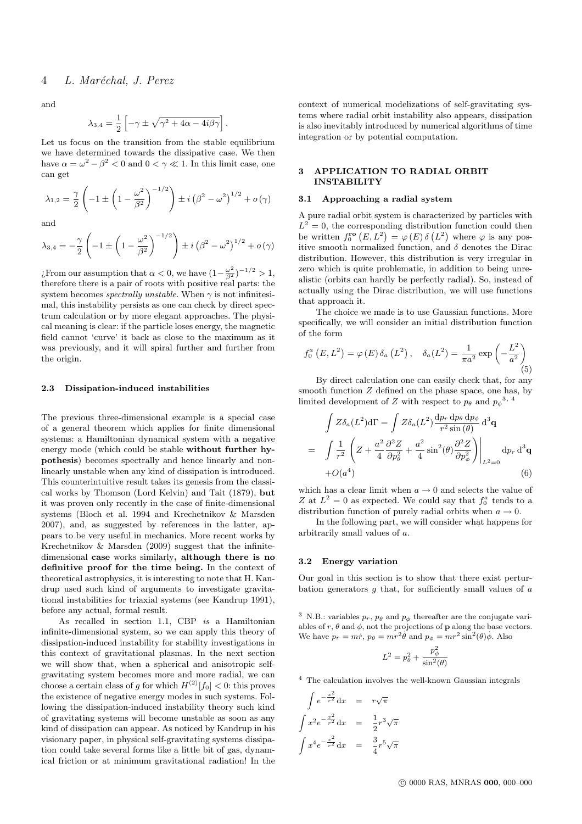and

$$
\lambda_{3,4} = \frac{1}{2} \left[ -\gamma \pm \sqrt{\gamma^2 + 4\alpha - 4i\beta\gamma} \right].
$$

Let us focus on the transition from the stable equilibrium we have determined towards the dissipative case. We then have  $\alpha = \omega^2 - \beta^2 < 0$  and  $0 < \gamma \ll 1$ . In this limit case, one can get

$$
\lambda_{1,2} = \frac{\gamma}{2} \left( -1 \pm \left( 1 - \frac{\omega^2}{\beta^2} \right)^{-1/2} \right) \pm i \left( \beta^2 - \omega^2 \right)^{1/2} + o(\gamma)
$$

and

$$
\lambda_{3,4} = -\frac{\gamma}{2} \left( -1 \pm \left( 1 - \frac{\omega^2}{\beta^2} \right)^{-1/2} \right) \pm i \left( \beta^2 - \omega^2 \right)^{1/2} + o(\gamma)
$$

*i*. From our assumption that  $\alpha < 0$ , we have  $(1 - \frac{\omega^2}{\beta^2})^{-1/2} > 1$ , therefore there is a pair of roots with positive real parts: the system becomes spectrally unstable. When  $\gamma$  is not infinitesimal, this instability persists as one can check by direct spectrum calculation or by more elegant approaches. The physical meaning is clear: if the particle loses energy, the magnetic field cannot 'curve' it back as close to the maximum as it was previously, and it will spiral further and further from the origin.

#### 2.3 Dissipation-induced instabilities

The previous three-dimensional example is a special case of a general theorem which applies for finite dimensional systems: a Hamiltonian dynamical system with a negative energy mode (which could be stable without further hypothesis) becomes spectrally and hence linearly and nonlinearly unstable when any kind of dissipation is introduced. This counterintuitive result takes its genesis from the classical works by Thomson (Lord Kelvin) and Tait (1879), but it was proven only recently in the case of finite-dimensional systems (Bloch et al. 1994 and Krechetnikov & Marsden 2007), and, as suggested by references in the latter, appears to be very useful in mechanics. More recent works by Krechetnikov & Marsden (2009) suggest that the infinitedimensional case works similarly, although there is no definitive proof for the time being. In the context of theoretical astrophysics, it is interesting to note that H. Kandrup used such kind of arguments to investigate gravitational instabilities for triaxial systems (see Kandrup 1991), before any actual, formal result.

As recalled in section 1.1, CBP is a Hamiltonian infinite-dimensional system, so we can apply this theory of dissipation-induced instability for stability investigations in this context of gravitational plasmas. In the next section we will show that, when a spherical and anisotropic selfgravitating system becomes more and more radial, we can choose a certain class of g for which  $H^{(2)}[f_0] < 0$ : this proves the existence of negative energy modes in such systems. Following the dissipation-induced instability theory such kind of gravitating systems will become unstable as soon as any kind of dissipation can appear. As noticed by Kandrup in his visionary paper, in physical self-gravitating systems dissipation could take several forms like a little bit of gas, dynamical friction or at minimum gravitational radiation! In the context of numerical modelizations of self-gravitating systems where radial orbit instability also appears, dissipation is also inevitably introduced by numerical algorithms of time integration or by potential computation.

## 3 APPLICATION TO RADIAL ORBIT **INSTABILITY**

#### 3.1 Approaching a radial system

A pure radial orbit system is characterized by particles with  $L^2 = 0$ , the corresponding distribution function could then be written  $f_0^{\text{ro}}(E, L^2) = \varphi(E) \delta(L^2)$  where  $\varphi$  is any positive smooth normalized function, and  $\delta$  denotes the Dirac distribution. However, this distribution is very irregular in zero which is quite problematic, in addition to being unrealistic (orbits can hardly be perfectly radial). So, instead of actually using the Dirac distribution, we will use functions that approach it.

The choice we made is to use Gaussian functions. More specifically, we will consider an initial distribution function of the form

$$
f_0^a(E, L^2) = \varphi(E) \, \delta_a(L^2) \,, \quad \delta_a(L^2) = \frac{1}{\pi a^2} \exp\left(-\frac{L^2}{a^2}\right) \tag{5}
$$

By direct calculation one can easily check that, for any smooth function Z defined on the phase space, one has, by limited development of Z with respect to  $p_{\theta}$  and  $p_{\phi}^{3,4}$ 

$$
\int Z \delta_a(L^2) d\Gamma = \int Z \delta_a(L^2) \frac{dp_r \, dp_\theta \, dp_\phi}{r^2 \sin(\theta)} d^3 \mathbf{q}
$$
  
= 
$$
\int \frac{1}{r^2} \left( Z + \frac{a^2}{4} \frac{\partial^2 Z}{\partial p_\theta^2} + \frac{a^2}{4} \sin^2(\theta) \frac{\partial^2 Z}{\partial p_\phi^2} \right) \Big|_{L^2=0} dp_r d^3 \mathbf{q}
$$
  
+
$$
O(a^4) \tag{6}
$$

which has a clear limit when  $a \to 0$  and selects the value of Z at  $L^2 = 0$  as expected. We could say that  $f_0^a$  tends to a distribution function of purely radial orbits when  $a \rightarrow 0$ .

In the following part, we will consider what happens for arbitrarily small values of a.

#### 3.2 Energy variation

Our goal in this section is to show that there exist perturbation generators  $q$  that, for sufficiently small values of  $a$ 

<sup>3</sup> N.B.: variables  $p_r$ ,  $p_\theta$  and  $p_\phi$  thereafter are the conjugate variables of r,  $\theta$  and  $\phi$ , not the projections of **p** along the base vectors. We have  $p_r = m\dot{r}$ ,  $p_\theta = mr^2\dot{\theta}$  and  $p_\phi = mr^2\sin^2(\theta)\dot{\phi}$ . Also

$$
L^2 = p_\theta^2 + \frac{p_\phi^2}{\sin^2(\theta)}
$$

<sup>4</sup> The calculation involves the well-known Gaussian integrals

$$
\int e^{-\frac{x^2}{r^2}} dx = r\sqrt{\pi}
$$
  

$$
\int x^2 e^{-\frac{x^2}{r^2}} dx = \frac{1}{2}r^3\sqrt{\pi}
$$
  

$$
\int x^4 e^{-\frac{x^2}{r^2}} dx = \frac{3}{4}r^5\sqrt{\pi}
$$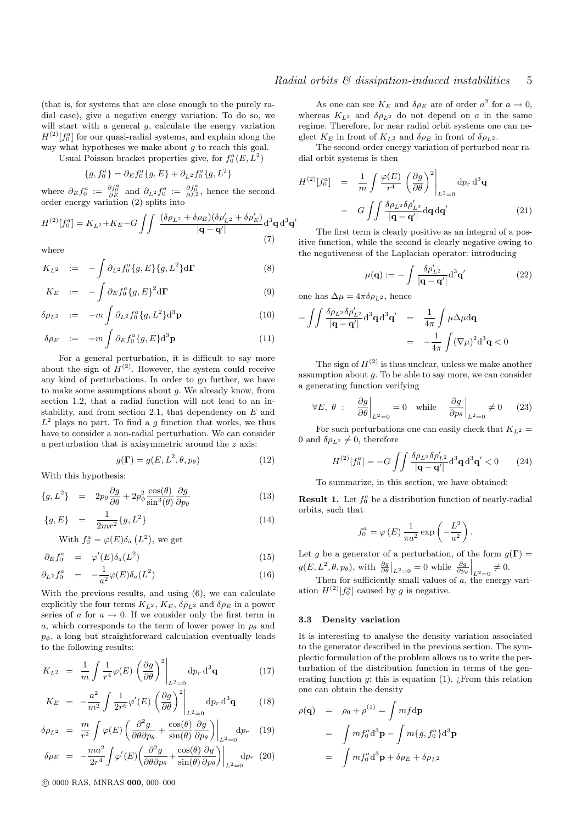(that is, for systems that are close enough to the purely radial case), give a negative energy variation. To do so, we will start with a general  $q$ , calculate the energy variation  $H^{(2)}[f_0^a]$  for our quasi-radial systems, and explain along the way what hypotheses we make about  $q$  to reach this goal.

Usual Poisson bracket properties give, for  $f_0^a(E, L^2)$ 

$$
\{g, f_0^a\} = \partial_E f_0^a \{g, E\} + \partial_{L^2} f_0^a \{g, L^2\}
$$

where  $\partial_E f_0^a := \frac{\partial f_0^a}{\partial E}$  and  $\partial_{L^2} f_0^a := \frac{\partial f_0^a}{\partial L^2}$ , hence the second order energy variation (2) splits into

$$
H^{(2)}[f_0^a] = K_{L^2} + K_E - G \iint \frac{(\delta \rho_{L^2} + \delta \rho_E)(\delta \rho'_{L^2} + \delta \rho'_E)}{|{\bf q} - {\bf q}'|} d^3{\bf q} d^3{\bf q}'
$$
(7)

where

$$
K_{L^2} = -\int \partial_{L^2} f_0^a \{g, E\} \{g, L^2\} d\Gamma
$$
 (8)

$$
K_E \quad := \quad -\int \partial_E f_0^a \{g, E\}^2 d\Gamma \tag{9}
$$

$$
\delta \rho_{L^2} := -m \int \partial_{L^2} f_0^a \{g, L^2\} \mathrm{d}^3 \mathbf{p} \tag{10}
$$

$$
\delta \rho_E \quad := \quad -m \int \partial_E f_0^a \{g, E\} \mathrm{d}^3 \mathbf{p} \tag{11}
$$

For a general perturbation, it is difficult to say more about the sign of  $H^{(2)}$ . However, the system could receive any kind of perturbations. In order to go further, we have to make some assumptions about g. We already know, from section 1.2, that a radial function will not lead to an instability, and from section 2.1, that dependency on  $E$  and  $L^2$  plays no part. To find a g function that works, we thus have to consider a non-radial perturbation. We can consider a perturbation that is axisymmetric around the z axis:

$$
g(\Gamma) = g(E, L^2, \theta, p_\theta) \tag{12}
$$

With this hypothesis:

$$
\{g, L^2\} = 2p_\theta \frac{\partial g}{\partial \theta} + 2p_\phi^2 \frac{\cos(\theta)}{\sin^3(\theta)} \frac{\partial g}{\partial p_\theta}
$$
(13)

$$
\{g, E\} = \frac{1}{2mr^2} \{g, L^2\} \tag{14}
$$

With  $f_0^a = \varphi(E) \delta_a(L^2)$ , we get

$$
\partial_E f_0^a = \varphi'(E) \delta_a(L^2) \tag{15}
$$

$$
\partial_{L^2} f_0^a = -\frac{1}{a^2} \varphi(E) \delta_a(L^2) \tag{16}
$$

With the previous results, and using (6), we can calculate explicitly the four terms  $K_{L^2}$ ,  $K_E$ ,  $\delta \rho_{L^2}$  and  $\delta \rho_E$  in a power series of a for  $a \rightarrow 0$ . If we consider only the first term in a, which corresponds to the term of lower power in  $p_{\theta}$  and  $p_{\phi}$ , a long but straightforward calculation eventually leads to the following results:

$$
K_{L^2} = \frac{1}{m} \int \frac{1}{r^4} \varphi(E) \left( \frac{\partial g}{\partial \theta} \right)^2 \Big|_{L^2=0} dp_r d^3 \mathbf{q}
$$
 (17)

$$
K_E = -\frac{a^2}{m^2} \int \frac{1}{2r^6} \varphi'(E) \left(\frac{\partial g}{\partial \theta}\right)^2 \Big|_{L^2=0} \mathrm{d}p_r \, \mathrm{d}^3 \mathbf{q} \tag{18}
$$

$$
\delta \rho_{L^2} = \frac{m}{r^2} \int \varphi(E) \left( \frac{\partial^2 g}{\partial \theta \partial p_\theta} + \frac{\cos(\theta)}{\sin(\theta)} \frac{\partial g}{\partial p_\theta} \right) \Big|_{L^2=0} dp_r \quad (19)
$$

$$
\delta \rho_E = -\frac{ma^2}{2r^4} \int \varphi'(E) \left( \frac{\partial^2 g}{\partial \theta \partial p_\theta} + \frac{\cos(\theta)}{\sin(\theta)} \frac{\partial g}{\partial p_\theta} \right) \Big|_{L^2=0} dp_r \tag{20}
$$

c 0000 RAS, MNRAS 000, 000–000

As one can see  $K_E$  and  $\delta \rho_E$  are of order  $a^2$  for  $a \to 0$ , whereas  $K_{L^2}$  and  $\delta \rho_{L^2}$  do not depend on a in the same regime. Therefore, for near radial orbit systems one can neglect  $K_E$  in front of  $K_{L^2}$  and  $\delta \rho_E$  in front of  $\delta \rho_{L^2}$ .

The second-order energy variation of perturbed near radial orbit systems is then

$$
H^{(2)}[f_0^a] = \frac{1}{m} \int \frac{\varphi(E)}{r^4} \left(\frac{\partial g}{\partial \theta}\right)^2 \Big|_{L^2=0} dp_r d^3 \mathbf{q}
$$

$$
- G \int \int \frac{\delta \rho_{L^2} \delta \rho_{L^2}'}{|\mathbf{q} - \mathbf{q}'|} d\mathbf{q} d\mathbf{q}'
$$
(21)

The first term is clearly positive as an integral of a positive function, while the second is clearly negative owing to the negativeness of the Laplacian operator: introducing

$$
\mu(\mathbf{q}) := -\int \frac{\delta \rho'_{L^2}}{|\mathbf{q} - \mathbf{q}'|} d^3 \mathbf{q}' \tag{22}
$$

one has  $\Delta \mu = 4\pi \delta \rho_{L^2}$ , hence

$$
-\int\!\!\int \frac{\delta \rho_{L2} \delta \rho'_{L2}}{|{\bf q}-{\bf q}'|} d^3{\bf q} d^3{\bf q}' = \frac{1}{4\pi} \int \mu \Delta \mu d{\bf q}
$$

$$
= -\frac{1}{4\pi} \int (\nabla \mu)^2 d^3{\bf q} < 0
$$

The sign of  $H^{(2)}$  is thus unclear, unless we make another assumption about  $g$ . To be able to say more, we can consider a generating function verifying

$$
\forall E, \theta : \left. \frac{\partial g}{\partial \theta} \right|_{L^2=0} = 0 \quad \text{while} \quad \left. \frac{\partial g}{\partial p_{\theta}} \right|_{L^2=0} \neq 0 \quad (23)
$$

For such perturbations one can easily check that  $K_{L^2}$  = 0 and  $\delta \rho_{L^2} \neq 0$ , therefore

$$
H^{(2)}[f_0^a] = -G \int \int \frac{\delta \rho_{L^2} \delta \rho'_{L^2}}{|\mathbf{q} - \mathbf{q}'|} d^3 \mathbf{q} d^3 \mathbf{q}' < 0 \qquad (24)
$$

To summarize, in this section, we have obtained:

**Result 1.** Let  $f_0^a$  be a distribution function of nearly-radial orbits, such that

$$
f_0^a = \varphi(E) \frac{1}{\pi a^2} \exp\left(-\frac{L^2}{a^2}\right).
$$

Let q be a generator of a perturbation, of the form  $q(\Gamma)$  =  $g(E, L^2, \theta, p_\theta)$ , with  $\frac{\partial g}{\partial \theta}\Big|_{L^2=0} = 0$  while  $\frac{\partial g}{\partial p_\theta}\Big|_{L^2=0} \neq 0$ .

Then for sufficiently small values of  $\alpha$ , the energy variation  $H^{(2)}[f_0^a]$  caused by g is negative.

#### 3.3 Density variation

It is interesting to analyse the density variation associated to the generator described in the previous section. The symplectic formulation of the problem allows us to write the perturbation of the distribution function in terms of the generating function  $q$ : this is equation (1). *i* From this relation one can obtain the density

$$
\rho(\mathbf{q}) = \rho_0 + \rho^{(1)} = \int mf d\mathbf{p}
$$
  
= 
$$
\int mf_0^a d^3 \mathbf{p} - \int m\{g, f_0^a\} d^3 \mathbf{p}
$$
  
= 
$$
\int mf_0^a d^3 \mathbf{p} + \delta \rho_E + \delta \rho_{L^2}
$$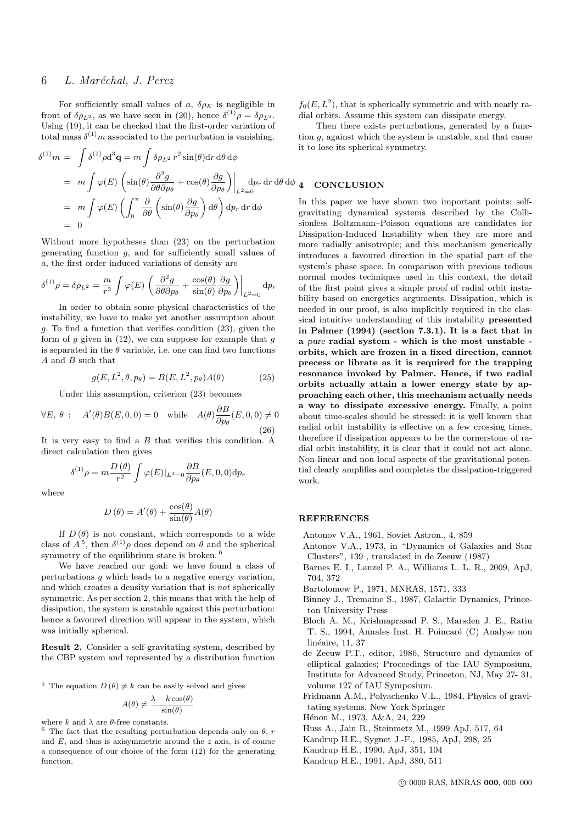# 6 L. Maréchal, J. Perez

For sufficiently small values of a,  $\delta \rho_E$  is negligible in front of  $\delta \rho_{L^2}$ , as we have seen in (20), hence  $\delta^{(1)} \rho = \delta \rho_{L^2}$ . Using (19), it can be checked that the first-order variation of total mass  $\delta^{(1)}$ m associated to the perturbation is vanishing.

$$
\delta^{(1)}m = \int \delta^{(1)}\rho \mathrm{d}^3\mathbf{q} = m \int \delta \rho_{L^2} r^2 \sin(\theta) \mathrm{d}r \, \mathrm{d}\theta \, \mathrm{d}\phi
$$
\n
$$
= m \int \varphi(E) \left( \sin(\theta) \frac{\partial^2 g}{\partial \theta \partial p_\theta} + \cos(\theta) \frac{\partial g}{\partial p_\theta} \right) \Big|_{L^2=0} \mathrm{d}p_r \, \mathrm{d}r \, \mathrm{d}\theta \, \mathrm{d}\phi \, \mathbf{q}
$$
\n
$$
= m \int \varphi(E) \left( \int_0^\pi \frac{\partial}{\partial \theta} \left( \sin(\theta) \frac{\partial g}{\partial p_\theta} \right) \mathrm{d}\theta \right) \mathrm{d}p_r \, \mathrm{d}r \, \mathrm{d}\phi
$$
\nIn this 1  
\n
$$
= 0
$$

Without more hypotheses than (23) on the perturbation generating function  $g$ , and for sufficiently small values of a, the first order induced variations of density are

$$
\delta^{(1)}\rho = \delta\rho_{L^2} = \frac{m}{r^2} \int \varphi(E) \left( \frac{\partial^2 g}{\partial \theta \partial p_{\theta}} + \frac{\cos(\theta)}{\sin(\theta)} \frac{\partial g}{\partial p_{\theta}} \right) \Big|_{L^2=0} dp_r
$$

In order to obtain some physical characteristics of the instability, we have to make yet another assumption about g. To find a function that verifies condition (23), given the form of  $g$  given in (12), we can suppose for example that  $g$ is separated in the  $\theta$  variable, i.e. one can find two functions A and B such that

$$
g(E, L^2, \theta, p_\theta) = B(E, L^2, p_\theta)A(\theta) \tag{25}
$$

Under this assumption, criterion (23) becomes

$$
\forall E, \theta : A'(\theta)B(E, 0, 0) = 0 \quad \text{while} \quad A(\theta) \frac{\partial B}{\partial p_{\theta}}(E, 0, 0) \neq 0
$$
\n(26)

It is very easy to find a  $B$  that verifies this condition. A direct calculation then gives

$$
\delta^{(1)}\rho=m\frac{D\left(\theta\right)}{r^{2}}\int\varphi(E)|_{L^{2}=0}\frac{\partial B}{\partial p_{\theta}}(E,0,0)\mathrm{d}p_{r}
$$

where

$$
D(\theta) = A'(\theta) + \frac{\cos(\theta)}{\sin(\theta)}A(\theta)
$$

If  $D(\theta)$  is not constant, which corresponds to a wide class of  $A^5$ , then  $\delta^{(1)}\rho$  does depend on  $\theta$  and the spherical symmetry of the equilibrium state is broken. <sup>6</sup>

We have reached our goal: we have found a class of perturbations g which leads to a negative energy variation, and which creates a density variation that is not spherically symmetric. As per section 2, this means that with the help of dissipation, the system is unstable against this perturbation: hence a favoured direction will appear in the system, which was initially spherical.

Result 2. Consider a self-gravitating system, described by the CBP system and represented by a distribution function

<sup>5</sup> The equation  $D(\theta) \neq k$  can be easily solved and gives

$$
A(\theta) \neq \frac{\lambda - k \cos(\theta)}{\sin(\theta)}
$$

where  $k$  and  $\lambda$  are  $\theta\text{-free constants.}$ 

 $^6\,$  The fact that the resulting perturbation depends only on  $\theta,\,r$ and  $E$ , and thus is axisymmetric around the  $z$  axis, is of course a consequence of our choice of the form (12) for the generating function.

 $f_0(E, L^2)$ , that is spherically symmetric and with nearly radial orbits. Assume this system can dissipate energy.

Then there exists perturbations, generated by a function  $q$ , against which the system is unstable, and that cause it to lose its spherical symmetry.

## **NCLUSION**

paper we have shown two important points: selfing dynamical systems described by the Collisionless Boltzmann–Poisson equations are candidates for Dissipation-Induced Instability when they are more and more radially anisotropic; and this mechanism generically introduces a favoured direction in the spatial part of the system's phase space. In comparison with previous tedious normal modes techniques used in this context, the detail of the first point gives a simple proof of radial orbit instability based on energetics arguments. Dissipation, which is needed in our proof, is also implicitly required in the classical intuitive understanding of this instability presented in Palmer (1994) (section 7.3.1). It is a fact that in a pure radial system - which is the most unstable orbits, which are frozen in a fixed direction, cannot precess or librate as it is required for the trapping resonance invoked by Palmer. Hence, if two radial orbits actually attain a lower energy state by approaching each other, this mechanism actually needs a way to dissipate excessive energy. Finally, a point about time-scales should be stressed: it is well known that radial orbit instability is effective on a few crossing times, therefore if dissipation appears to be the cornerstone of radial orbit instability, it is clear that it could not act alone. Non-linear and non-local aspects of the gravitational potential clearly amplifies and completes the dissipation-triggered work.

## **REFERENCES**

Antonov V.A., 1961, Soviet Astron., 4, 859

- Antonov V.A., 1973, in "Dynamics of Galaxies and Star Clusters", 139 , translated in de Zeeuw (1987)
- Barnes E. I., Lanzel P. A., Williams L. L. R., 2009, ApJ, 704, 372
- Bartolomew P., 1971, MNRAS, 1571, 333
- Binney J., Tremaine S., 1987, Galactic Dynamics, Princeton University Press
- Bloch A. M., Krishnaprasad P. S., Marsden J. E., Ratiu T. S., 1994, Annales Inst. H. Poincaré (C) Analyse non linéaire, 11, 37
- de Zeeuw P.T., editor, 1986, Structure and dynamics of elliptical galaxies; Proceedings of the IAU Symposium, Institute for Advanced Study, Princeton, NJ, May 27- 31, volume 127 of IAU Symposium.
- Fridmann A.M., Polyachenko V.L., 1984, Physics of gravitating systems, New York Springer
- Hénon M., 1973, A&A, 24, 229
- Huss A., Jain B., Steinmetz M., 1999 ApJ, 517, 64
- Kandrup H.E., Sygnet J.-F., 1985, ApJ, 298, 25
- Kandrup H.E., 1990, ApJ, 351, 104
- Kandrup H.E., 1991, ApJ, 380, 511